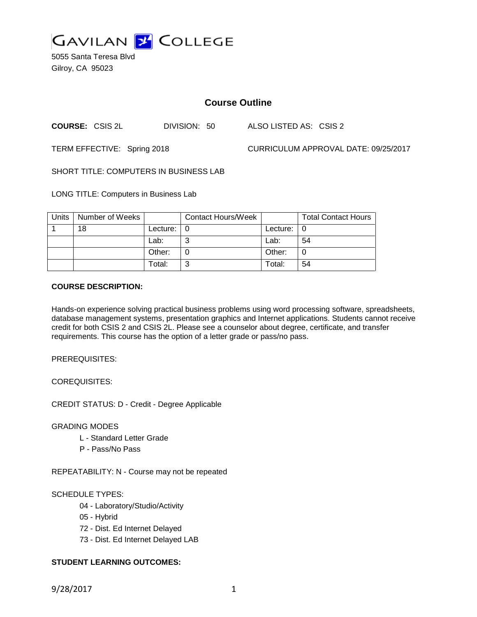

5055 Santa Teresa Blvd Gilroy, CA 95023

# **Course Outline**

**COURSE:** CSIS 2L DIVISION: 50 ALSO LISTED AS: CSIS 2

TERM EFFECTIVE: Spring 2018 CURRICULUM APPROVAL DATE: 09/25/2017

SHORT TITLE: COMPUTERS IN BUSINESS LAB

LONG TITLE: Computers in Business Lab

| Units | Number of Weeks |          | <b>Contact Hours/Week</b> |          | <b>Total Contact Hours</b> |
|-------|-----------------|----------|---------------------------|----------|----------------------------|
|       | 18              | Lecture: |                           | Lecture: |                            |
|       |                 | Lab:     | ⌒                         | Lab:     | 54                         |
|       |                 | Other:   |                           | Other:   |                            |
|       |                 | Total:   | ⌒                         | Total:   | 54                         |

# **COURSE DESCRIPTION:**

Hands-on experience solving practical business problems using word processing software, spreadsheets, database management systems, presentation graphics and Internet applications. Students cannot receive credit for both CSIS 2 and CSIS 2L. Please see a counselor about degree, certificate, and transfer requirements. This course has the option of a letter grade or pass/no pass.

PREREQUISITES:

COREQUISITES:

CREDIT STATUS: D - Credit - Degree Applicable

GRADING MODES

- L Standard Letter Grade
- P Pass/No Pass

REPEATABILITY: N - Course may not be repeated

# SCHEDULE TYPES:

- 04 Laboratory/Studio/Activity
- 05 Hybrid
- 72 Dist. Ed Internet Delayed
- 73 Dist. Ed Internet Delayed LAB

# **STUDENT LEARNING OUTCOMES:**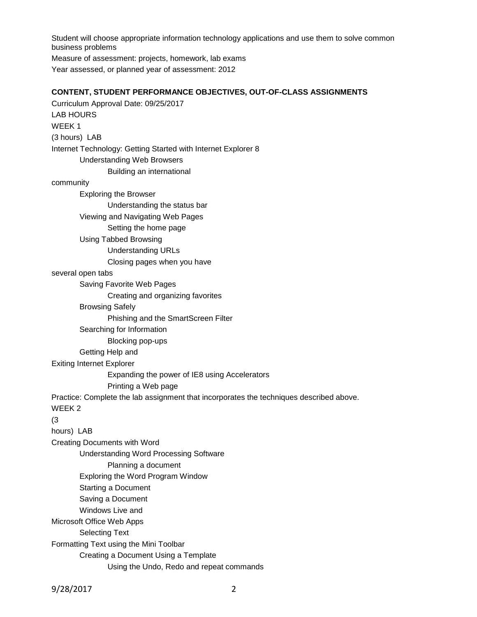Student will choose appropriate information technology applications and use them to solve common business problems Measure of assessment: projects, homework, lab exams Year assessed, or planned year of assessment: 2012

#### **CONTENT, STUDENT PERFORMANCE OBJECTIVES, OUT-OF-CLASS ASSIGNMENTS**

Curriculum Approval Date: 09/25/2017 LAB HOURS WEEK 1 (3 hours) LAB Internet Technology: Getting Started with Internet Explorer 8 Understanding Web Browsers Building an international community Exploring the Browser Understanding the status bar Viewing and Navigating Web Pages Setting the home page Using Tabbed Browsing Understanding URLs Closing pages when you have several open tabs Saving Favorite Web Pages Creating and organizing favorites Browsing Safely Phishing and the SmartScreen Filter Searching for Information Blocking pop-ups Getting Help and Exiting Internet Explorer Expanding the power of IE8 using Accelerators Printing a Web page Practice: Complete the lab assignment that incorporates the techniques described above. WEEK 2 (3 hours) LAB Creating Documents with Word Understanding Word Processing Software Planning a document Exploring the Word Program Window Starting a Document Saving a Document Windows Live and Microsoft Office Web Apps Selecting Text Formatting Text using the Mini Toolbar Creating a Document Using a Template Using the Undo, Redo and repeat commands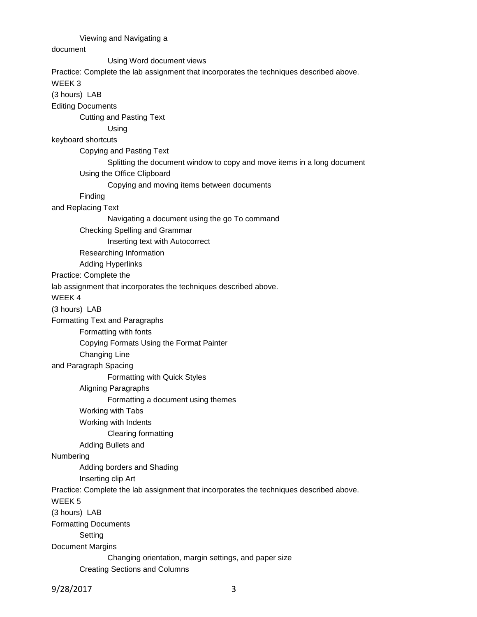# Viewing and Navigating a

# document

Using Word document views

Practice: Complete the lab assignment that incorporates the techniques described above.

#### WEEK 3

(3 hours) LAB

Editing Documents

Cutting and Pasting Text

Using

#### keyboard shortcuts

Copying and Pasting Text

Splitting the document window to copy and move items in a long document

Using the Office Clipboard

Copying and moving items between documents

# Finding

and Replacing Text

Navigating a document using the go To command

#### Checking Spelling and Grammar

Inserting text with Autocorrect

Researching Information

Adding Hyperlinks

Practice: Complete the

lab assignment that incorporates the techniques described above.

WEEK 4

(3 hours) LAB

Formatting Text and Paragraphs

Formatting with fonts

Copying Formats Using the Format Painter

Changing Line

and Paragraph Spacing

Formatting with Quick Styles

Aligning Paragraphs

Formatting a document using themes

Working with Tabs

Working with Indents

Clearing formatting

Adding Bullets and

#### Numbering

Adding borders and Shading

Inserting clip Art

Practice: Complete the lab assignment that incorporates the techniques described above.

WEEK 5

(3 hours) LAB

Formatting Documents

Setting

Document Margins

Changing orientation, margin settings, and paper size

Creating Sections and Columns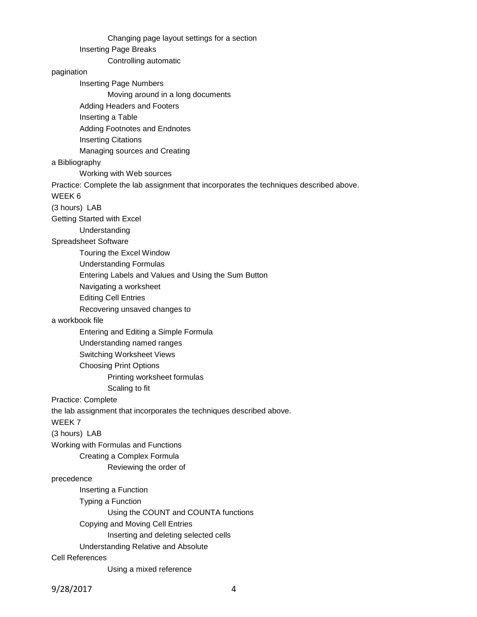Changing page layout settings for a section Inserting Page Breaks Controlling automatic pagination Inserting Page Numbers Moving around in a long documents Adding Headers and Footers Inserting a Table Adding Footnotes and Endnotes Inserting Citations Managing sources and Creating a Bibliography Working with Web sources Practice: Complete the lab assignment that incorporates the techniques described above. WEEK 6 (3 hours) LAB Getting Started with Excel Understanding Spreadsheet Software Touring the Excel Window Understanding Formulas Entering Labels and Values and Using the Sum Button Navigating a worksheet Editing Cell Entries Recovering unsaved changes to a workbook file Entering and Editing a Simple Formula Understanding named ranges Switching Worksheet Views Choosing Print Options Printing worksheet formulas Scaling to fit Practice: Complete the lab assignment that incorporates the techniques described above. WEEK 7 (3 hours) LAB Working with Formulas and Functions Creating a Complex Formula Reviewing the order of precedence Inserting a Function Typing a Function Using the COUNT and COUNTA functions Copying and Moving Cell Entries Inserting and deleting selected cells Understanding Relative and Absolute Cell References Using a mixed reference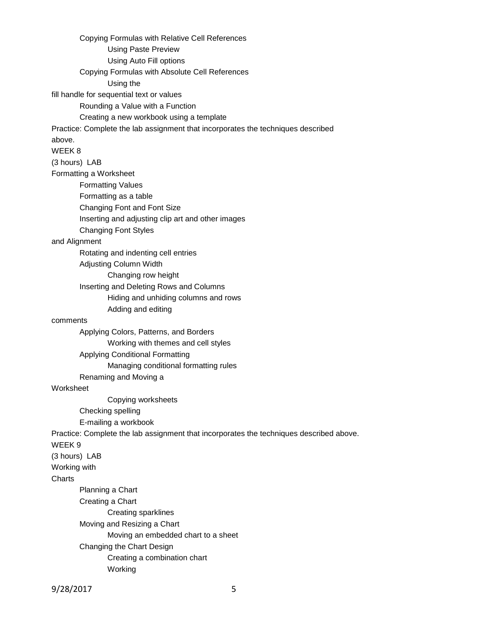Copying Formulas with Relative Cell References Using Paste Preview Using Auto Fill options Copying Formulas with Absolute Cell References Using the fill handle for sequential text or values Rounding a Value with a Function Creating a new workbook using a template Practice: Complete the lab assignment that incorporates the techniques described above. WEEK 8 (3 hours) LAB Formatting a Worksheet Formatting Values Formatting as a table Changing Font and Font Size Inserting and adjusting clip art and other images Changing Font Styles and Alignment Rotating and indenting cell entries Adjusting Column Width Changing row height Inserting and Deleting Rows and Columns Hiding and unhiding columns and rows Adding and editing comments Applying Colors, Patterns, and Borders Working with themes and cell styles Applying Conditional Formatting Managing conditional formatting rules Renaming and Moving a **Worksheet** Copying worksheets Checking spelling E-mailing a workbook Practice: Complete the lab assignment that incorporates the techniques described above. WEEK 9 (3 hours) LAB Working with **Charts** Planning a Chart Creating a Chart Creating sparklines Moving and Resizing a Chart Moving an embedded chart to a sheet Changing the Chart Design Creating a combination chart Working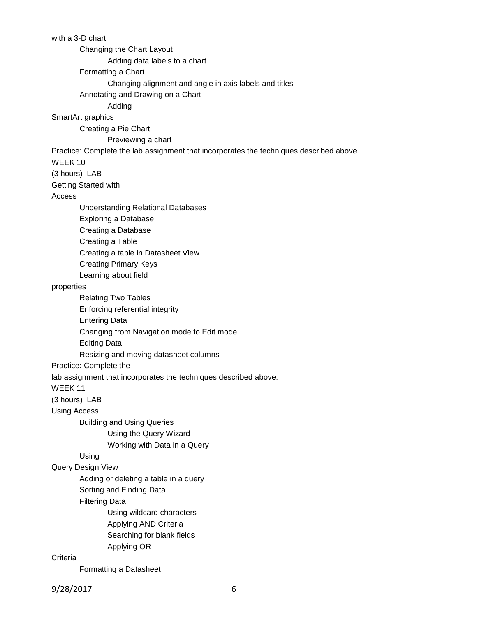with a 3-D chart Changing the Chart Layout Adding data labels to a chart Formatting a Chart Changing alignment and angle in axis labels and titles Annotating and Drawing on a Chart Adding SmartArt graphics Creating a Pie Chart Previewing a chart Practice: Complete the lab assignment that incorporates the techniques described above. WEEK 10 (3 hours) LAB Getting Started with Access Understanding Relational Databases Exploring a Database Creating a Database Creating a Table Creating a table in Datasheet View Creating Primary Keys Learning about field properties Relating Two Tables Enforcing referential integrity Entering Data Changing from Navigation mode to Edit mode Editing Data Resizing and moving datasheet columns Practice: Complete the lab assignment that incorporates the techniques described above. WEEK 11 (3 hours) LAB Using Access Building and Using Queries Using the Query Wizard Working with Data in a Query Using Query Design View Adding or deleting a table in a query Sorting and Finding Data Filtering Data Using wildcard characters Applying AND Criteria Searching for blank fields Applying OR **Criteria** Formatting a Datasheet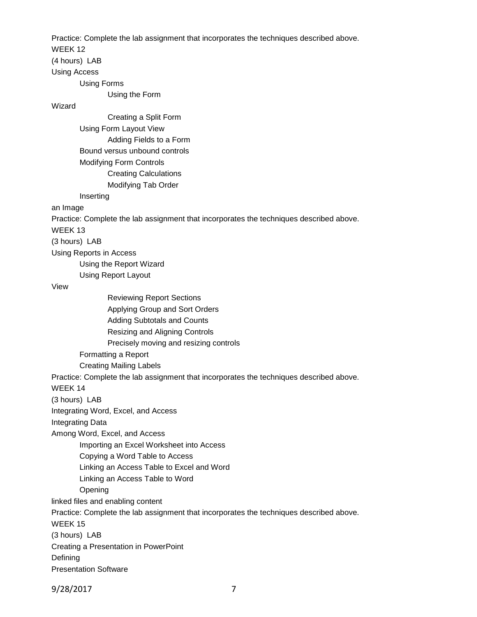Practice: Complete the lab assignment that incorporates the techniques described above.

WEEK 12

(4 hours) LAB

Using Access

Using Forms

Using the Form

Wizard

Creating a Split Form Using Form Layout View Adding Fields to a Form Bound versus unbound controls Modifying Form Controls Creating Calculations Modifying Tab Order

Inserting

an Image

Practice: Complete the lab assignment that incorporates the techniques described above.

WEEK 13

(3 hours) LAB

Using Reports in Access

Using the Report Wizard

Using Report Layout

View

Reviewing Report Sections Applying Group and Sort Orders Adding Subtotals and Counts Resizing and Aligning Controls Precisely moving and resizing controls Formatting a Report

Creating Mailing Labels

Practice: Complete the lab assignment that incorporates the techniques described above.

WEEK 14

(3 hours) LAB

Integrating Word, Excel, and Access

Integrating Data

Among Word, Excel, and Access

Importing an Excel Worksheet into Access

Copying a Word Table to Access

Linking an Access Table to Excel and Word

Linking an Access Table to Word

**Opening** 

linked files and enabling content

Practice: Complete the lab assignment that incorporates the techniques described above.

WEEK 15

(3 hours) LAB

Creating a Presentation in PowerPoint

**Defining** 

Presentation Software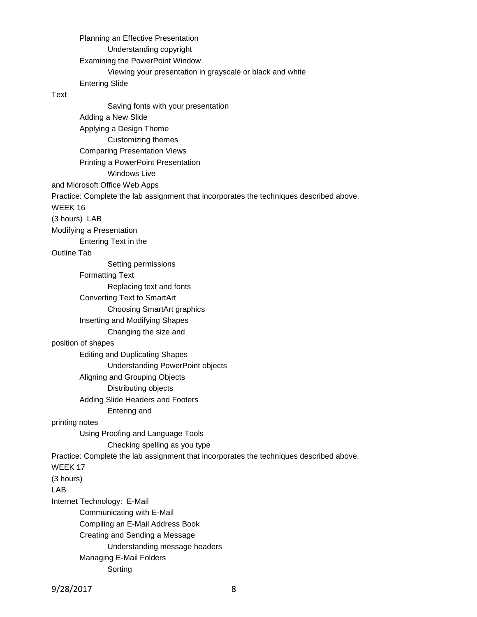Planning an Effective Presentation Understanding copyright Examining the PowerPoint Window Viewing your presentation in grayscale or black and white Entering Slide

#### Text

Saving fonts with your presentation Adding a New Slide Applying a Design Theme Customizing themes Comparing Presentation Views Printing a PowerPoint Presentation Windows Live and Microsoft Office Web Apps Practice: Complete the lab assignment that incorporates the techniques described above. WEEK 16 (3 hours) LAB Modifying a Presentation Entering Text in the Outline Tab Setting permissions Formatting Text Replacing text and fonts Converting Text to SmartArt Choosing SmartArt graphics Inserting and Modifying Shapes Changing the size and position of shapes Editing and Duplicating Shapes Understanding PowerPoint objects Aligning and Grouping Objects Distributing objects Adding Slide Headers and Footers Entering and printing notes Using Proofing and Language Tools Checking spelling as you type Practice: Complete the lab assignment that incorporates the techniques described above. WEEK 17 (3 hours) LAB Internet Technology: E-Mail Communicating with E-Mail Compiling an E-Mail Address Book Creating and Sending a Message Understanding message headers Managing E-Mail Folders Sorting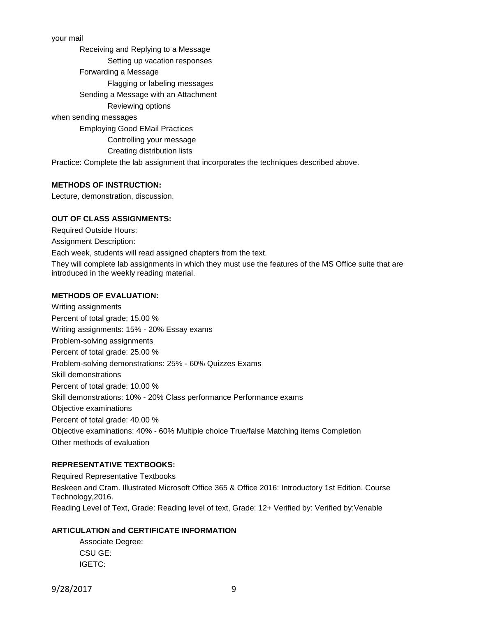your mail

Receiving and Replying to a Message Setting up vacation responses Forwarding a Message Flagging or labeling messages Sending a Message with an Attachment Reviewing options when sending messages Employing Good EMail Practices Controlling your message Creating distribution lists

Practice: Complete the lab assignment that incorporates the techniques described above.

#### **METHODS OF INSTRUCTION:**

Lecture, demonstration, discussion.

#### **OUT OF CLASS ASSIGNMENTS:**

Required Outside Hours: Assignment Description: Each week, students will read assigned chapters from the text. They will complete lab assignments in which they must use the features of the MS Office suite that are introduced in the weekly reading material.

# **METHODS OF EVALUATION:**

Writing assignments Percent of total grade: 15.00 % Writing assignments: 15% - 20% Essay exams Problem-solving assignments Percent of total grade: 25.00 % Problem-solving demonstrations: 25% - 60% Quizzes Exams Skill demonstrations Percent of total grade: 10.00 % Skill demonstrations: 10% - 20% Class performance Performance exams Objective examinations Percent of total grade: 40.00 % Objective examinations: 40% - 60% Multiple choice True/false Matching items Completion Other methods of evaluation

# **REPRESENTATIVE TEXTBOOKS:**

Required Representative Textbooks Beskeen and Cram. Illustrated Microsoft Office 365 & Office 2016: Introductory 1st Edition. Course Technology,2016. Reading Level of Text, Grade: Reading level of text, Grade: 12+ Verified by: Verified by:Venable

# **ARTICULATION and CERTIFICATE INFORMATION**

Associate Degree: CSU GE: IGETC: